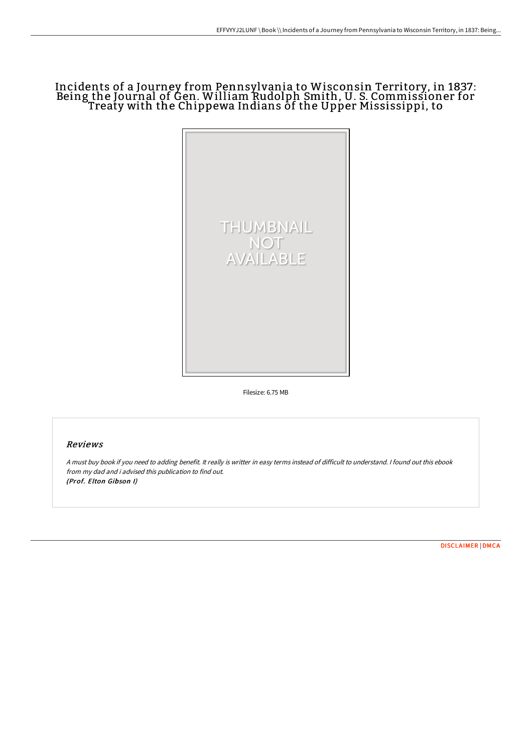## Incidents of a Journey from Pennsylvania to Wisconsin Territory, in 1837: Being the Journal of Gen. William Rudolph Smith, U. S. Commissioner for Treaty with the Chippewa Indians of the Upper Mississippi, to



Filesize: 6.75 MB

### Reviews

<sup>A</sup> must buy book if you need to adding benefit. It really is writter in easy terms instead of difficult to understand. <sup>I</sup> found out this ebook from my dad and i advised this publication to find out. (Prof. Elton Gibson I)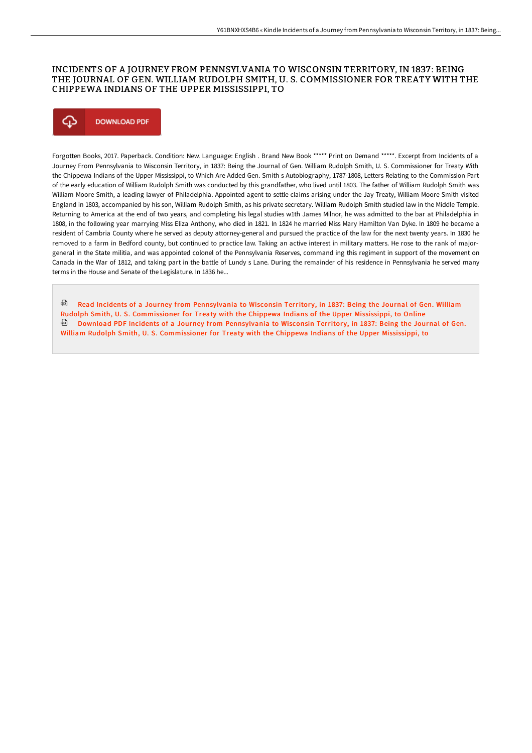### INCIDENTS OF A JOURNEY FROM PENNSYLVANIA TO WISCONSIN TERRITORY, IN 1837 : BEING THE JOURNAL OF GEN. WILLIAM RUDOLPH SMITH, U. S. COMMISSIONER FOR TREATY WITH THE CHIPPEWA INDIANS OF THE UPPER MISSISSIPPI, TO



Forgotten Books, 2017. Paperback. Condition: New. Language: English . Brand New Book \*\*\*\*\* Print on Demand \*\*\*\*\*. Excerpt from Incidents of a Journey From Pennsylvania to Wisconsin Territory, in 1837: Being the Journal of Gen. William Rudolph Smith, U. S. Commissioner for Treaty With the Chippewa Indians of the Upper Mississippi, to Which Are Added Gen. Smith s Autobiography, 1787-1808, Letters Relating to the Commission Part of the early education of William Rudolph Smith was conducted by this grandfather, who lived until 1803. The father of William Rudolph Smith was William Moore Smith, a leading lawyer of Philadelphia. Appointed agent to settle claims arising under the Jay Treaty, William Moore Smith visited England in 1803, accompanied by his son, William Rudolph Smith, as his private secretary. William Rudolph Smith studied law in the Middle Temple. Returning to America at the end of two years, and completing his legal studies w1th James Milnor, he was admitted to the bar at Philadelphia in 1808, in the following year marrying Miss Eliza Anthony, who died in 1821. In 1824 he married Miss Mary Hamilton Van Dyke. In 1809 he became a resident of Cambria County where he served as deputy attorney-general and pursued the practice of the law for the next twenty years. In 1830 he removed to a farm in Bedford county, but continued to practice law. Taking an active interest in military matters. He rose to the rank of majorgeneral in the State militia, and was appointed colonel of the Pennsylvania Reserves, command ing this regiment in support of the movement on Canada in the War of 1812, and taking part in the battle of Lundy s Lane. During the remainder of his residence in Pennsylvania he served many terms in the House and Senate of the Legislature. In 1836 he...

<sup>@</sup> Read Incidents of a Journey from Pennsylvania to Wisconsin Territory, in 1837: Being the Journal of Gen. William Rudolph Smith, U. S. [Commissioner](http://www.bookdirs.com/incidents-of-a-journey-from-pennsylvania-to-wisc.html) for Treaty with the Chippewa Indians of the Upper Mississippi, to Online **Download PDF Incidents of a Journey from Pennsylvania to Wisconsin Territory, in 1837: Being the Journal of Gen.** William Rudolph Smith, U. S. [Commissioner](http://www.bookdirs.com/incidents-of-a-journey-from-pennsylvania-to-wisc.html) for Treaty with the Chippewa Indians of the Upper Mississippi, to